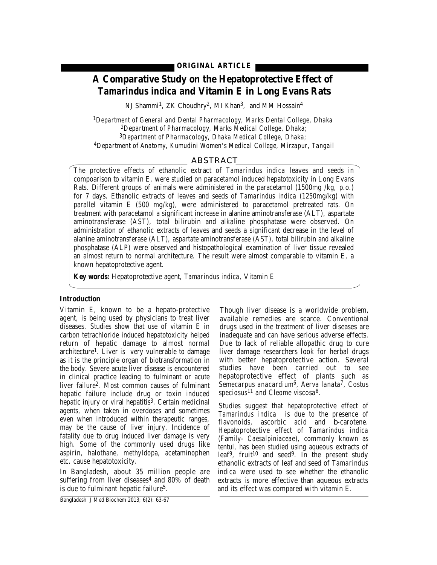# **A Comparative Study on the Hepatoprotective Effect of**  *Tamarindus indica* **and Vitamin E in Long Evans Rats**

NJ Shammi<sup>1</sup>, ZK Choudhry<sup>2</sup>, MI Khan<sup>3</sup>, and MM Hossain<sup>4</sup>

*1Department of General and Dental Pharmacology, Marks Dental College, Dhaka 2Department of Pharmacology, Marks Medical College, Dhaka; 3Department of Pharmacology, Dhaka Medical College, Dhaka; 4Department of Anatomy, Kumudini Women's Medical College, Mirzapur, Tangail*

### ABSTRACT

The protective effects of ethanolic extract of *Tamarindus indica* leaves and seeds in compoarison to vitamin E, were studied on paracetamol induced hepatotoxicity in Long Evans Rats. Different groups of animals were administered in the paracetamol (1500mg /kg, p.o.) for 7 days. Ethanolic extracts of leaves and seeds of *Tamarindus indica* (1250mg/kg) with parallel vitamin E (500 mg/kg), were administered to paracetamol pretreated rats. On treatment with paracetamol a significant increase in alanine aminotransferase (ALT), aspartate aminotransferase (AST), total bilirubin and alkaline phosphatase were observed. On administration of ethanolic extracts of leaves and seeds a significant decrease in the level of alanine aminotransferase (ALT), aspartate aminotransferase (AST), total bilirubin and alkaline phosphatase (ALP) were observed and histopathological examination of liver tissue revealed an almost return to normal architecture. The result were almost comparable to vitamin E, a known hepatoprotective agent.

**Key words:** Hepatoprotective agent, *Tamarindus indica,* Vitamin E

#### **Introduction**

Vitamin E, known to be a hepato-protective agent, is being used by physicians to treat liver diseases. Studies show that use of vitamin E in carbon tetrachloride induced hepatotoxicity helped return of hepatic damage to almost normal architecture1. Liver is very vulnerable to damage as it is the principle organ of biotransformation in the body. Severe acute liver disease is encountered in clinical practice leading to fulminant or acute liver failure2. Most common causes of fulminant hepatic failure include drug or toxin induced hepatic injury or viral hepatitis<sup>3</sup>. Certain medicinal agents, when taken in overdoses and sometimes even when introduced within therapeutic ranges, may be the cause of liver injury. Incidence of fatality due to drug induced liver damage is very high. Some of the commonly used drugs like aspirin, halothane, methyldopa, acetaminophen etc. cause hepatotoxicity.

In Bangladesh, about 35 million people are suffering from liver diseases $4$  and 80% of death is due to fulminant hepatic failure5.

Though liver disease is a worldwide problem, available remedies are scarce. Conventional drugs used in the treatment of liver diseases are inadequate and can have serious adverse effects. Due to lack of reliable allopathic drug to cure liver damage researchers look for herbal drugs with better hepatoprotective action. Several studies have been carried out to see hepatoprotective effect of plants such as *Semecarpus anacardium6, Aerva lanata7, Costus speciosus<sup>11</sup> and Cleome viscosa8.*

Studies suggest that hepatoprotective effect of *Tamarindus indica* is due to the presence of flavonoids, ascorbic acid and β-carotene. Hepatoprotective effect of *Tamarindus indica* (Family- *Caesalpiniaceae*), commonly known as tentul, has been studied using aqueous extracts of leaf<sup>9</sup>, fruit<sup>10</sup> and seed<sup>9</sup>. In the present study ethanolic extracts of leaf and seed of *Tamarindus indica* were used to see whether the ethanolic extracts is more effective than aqueous extracts and its effect was compared with vitamin E.

Bangladesh J Med Biochem 2013; 6(2): 63-67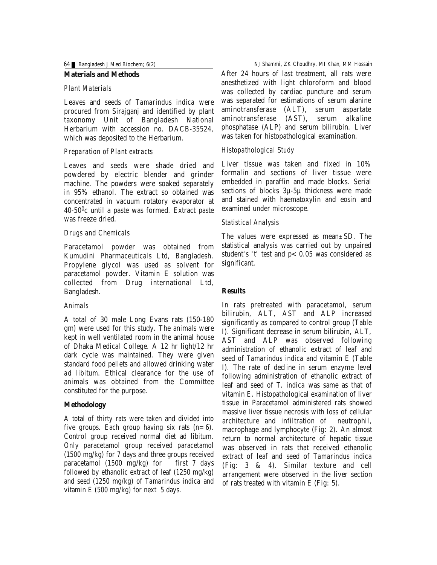#### **Materials and Methods**

#### *Plant Materials*

Leaves and seeds of *Tamarindus indica* were procured from Sirajganj and identified by plant taxonomy Unit of Bangladesh National Herbarium with accession no. DACB-35524, which was deposited to the Herbarium.

### *Preparation of Plant extracts*

Leaves and seeds were shade dried and powdered by electric blender and grinder machine. The powders were soaked separately in 95% ethanol. The extract so obtained was concentrated in vacuum rotatory evaporator at 40-500c until a paste was formed. Extract paste was freeze dried.

## *Drugs and Chemicals*

Paracetamol powder was obtained from Kumudini Pharmaceuticals Ltd, Bangladesh. Propylene glycol was used as solvent for paracetamol powder. Vitamin E solution was collected from Drug international Ltd, Bangladesh.

### *Animals*

A total of 30 male Long Evans rats (150-180 gm) were used for this study. The animals were kept in well ventilated room in the animal house of Dhaka Medical College. A 12 hr light/12 hr dark cycle was maintained. They were given standard food pellets and allowed drinking water *ad libitum*. Ethical clearance for the use of animals was obtained from the Committee constituted for the purpose.

# **Methodology**

A total of thirty rats were taken and divided into five groups. Each group having six rats  $(n=6)$ . Control group received normal diet ad libitum. Only paracetamol group received paracetamol (1500 mg/kg) for 7 days and three groups received paracetamol (1500 mg/kg) for first 7 days followed by ethanolic extract of leaf (1250 mg/kg) and seed (1250 mg/kg) of *Tamarindus indica* and vitamin E  $(500 \text{ mg/kg})$  for next 5 days.

64 Bangladesh J Med Biochem; 6(2) NJ Shammi, ZK Choudhry, MI Khan, MM Hossain

After 24 hours of last treatment, all rats were anesthetized with light chloroform and blood was collected by cardiac puncture and serum was separated for estimations of serum alanine aminotransferase (ALT), serum aspartate aminotransferase (AST), serum alkaline phosphatase (ALP) and serum bilirubin. Liver was taken for histopathological examination.

# *Histopathological Study*

Liver tissue was taken and fixed in 10% formalin and sections of liver tissue were embedded in paraffin and made blocks. Serial sections of blocks 3µ-5µ thickness were made and stained with haematoxylin and eosin and examined under microscope.

## *Statistical Analysis*

The values were expressed as mean*±*SD. The statistical analysis was carried out by unpaired student's 't' test and  $p < 0.05$  was considered as significant.

# **Results**

In rats pretreated with paracetamol, serum bilirubin, ALT, AST and ALP increased significantly as compared to control group (Table I). Significant decrease in serum bilirubin, ALT, AST and ALP was observed following administration of ethanolic extract of leaf and seed of *Tamarindus indica* and vitamin E (Table I). The rate of decline in serum enzyme level following administration of ethanolic extract of leaf and seed of *T. indica* was same as that of vitamin E. Histopathological examination of liver tissue in Paracetamol administered rats showed massive liver tissue necrosis with loss of cellular architecture and infiltration of neutrophil, macrophage and lymphocyte (Fig: 2). An almost return to normal architecture of hepatic tissue was observed in rats that received ethanolic extract of leaf and seed of *Tamarindus indica* (Fig: 3 & 4). Similar texture and cell arrangement were observed in the liver section of rats treated with vitamin E (Fig: 5).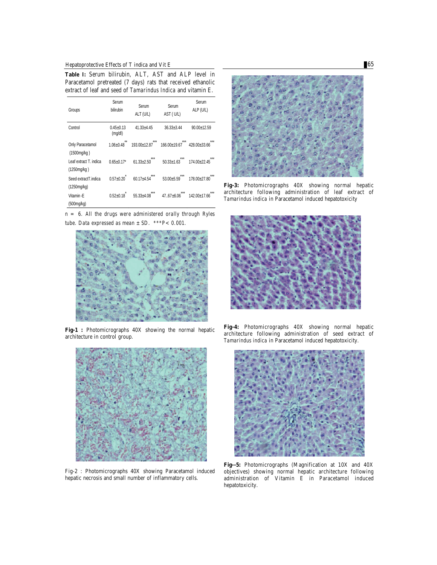Hepatoprotective Effects of T indica and Vit E 65

**Table I:** Serum bilirubin, ALT, AST and ALP level in Paracetamol pretreated (7 days) rats that received ethanolic extract of leaf and seed of *Tamarindus Indica* and vitamin E.

| Groups                 | Serum                    | Serum          | Serum          | Serum        |
|------------------------|--------------------------|----------------|----------------|--------------|
|                        | bilirubin                | ALT (U/L)      | AST (U/L)      | ALP (U/L)    |
| Control                | $0.45 + 0.13$<br>(mg/dl) | $41.33 + 4.45$ | $36.33 + 3.44$ | 90.00±12.59  |
| Only Paracetamol       | $**$                     | $***$          | 166.00+19.67   |              |
| (1500mg/kg)            | $1.06 + 0.48$            | 193.00+12.87   |                | 428.00+33.66 |
| Leaf extract T. indica | $0.65 + 0.17$ *          | ***            | ***            | ***          |
| (1250mg/kg)            |                          | $61.33 + 2.50$ | $50.33 + 1.63$ | 174.00+22.45 |
| Seed extract T.indica  | $0.57 + 0.20$            | ***            | ***            | ***          |
| (1250mg/kg)            |                          | $60.17 + 4.54$ | $53.00 + 5.59$ | 178.00+27.80 |
| Vitamin-F              | ÷                        | ***            | ***            | ***          |
| (500mg/kg)             | $0.52 + 0.18$            | $55.33 + 4.08$ | $47.67 + 6.06$ | 142.00+17.66 |

*n = 6. All the drugs were administered orally through Ryles tube. Data expressed as mean ±SD. \*\*\*P<0.001.*



**Fig-1 :** Photomicrographs 40X showing the normal hepatic architecture in control group.



Fig-2 : Photomicrographs 40X showing Paracetamol induced hepatic necrosis and small number of inflammatory cells.



**Fig-3:** Photomicrographs 40X showing normal hepatic architecture following administration of leaf extract of *Tamarindus indica* in Paracetamol induced hepatotoxicity



**Fig-4:** Photomicrographs 40X showing normal hepatic architecture following administration of seed extract of *Tamarindus indica* in Paracetamol induced hepatotoxicity.



**Fig--5:** Photomicrographs (Magnification at 10X and 40X objectives) showing normal hepatic architecture following administration of Vitamin E in Paracetamol induced hepatotoxicity.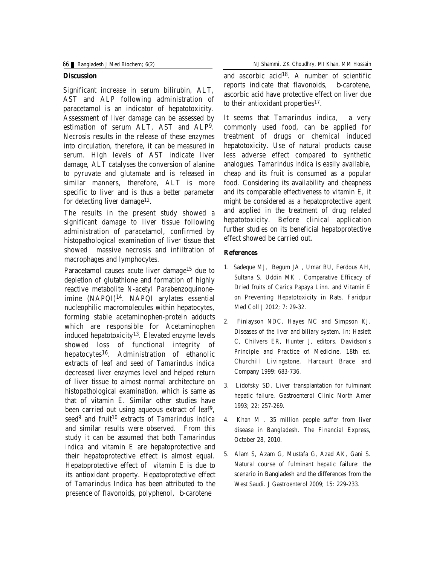#### **Discussion**

Significant increase in serum bilirubin, ALT, AST and ALP following administration of paracetamol is an indicator of hepatotoxicity. Assessment of liver damage can be assessed by estimation of serum ALT, AST and ALP9. Necrosis results in the release of these enzymes into circulation, therefore, it can be measured in serum. High levels of AST indicate liver damage, ALT catalyses the conversion of alanine to pyruvate and glutamate and is released in similar manners, therefore, ALT is more specific to liver and is thus a better parameter for detecting liver damage<sup>12</sup>.

The results in the present study showed a significant damage to liver tissue following administration of paracetamol, confirmed by histopathological examination of liver tissue that showed massive necrosis and infiltration of macrophages and lymphocytes.

Paracetamol causes acute liver damage<sup>15</sup> due to depletion of glutathione and formation of highly reactive metabolite N-acetyl Parabenzoquinoneimine (NAPQI)14. NAPQI arylates essential nucleophilic macromolecules within hepatocytes, forming stable acetaminophen-protein adducts which are responsible for Acetaminophen induced hepatotoxicity<sup>13</sup>. Elevated enzyme levels showed loss of functional integrity of hepatocytes16. Administration of ethanolic extracts of leaf and seed of *Tamarindus indica* decreased liver enzymes level and helped return of liver tissue to almost normal architecture on histopathological examination, which is same as that of vitamin E. Similar other studies have been carried out using aqueous extract of leaf9, seed<sup>9</sup> and fruit <sup>10</sup> extracts of *Tamarindus indica* and similar results were observed. From this study it can be assumed that both *Tamarindus indica* and vitamin E are hepatoprotective and their hepatoprotective effect is almost equal. Hepatoprotective effect of vitamin E is due to its antioxidant property. Hepatoprotective effect of *Tamarindus Indica* has been attributed to the presence of flavonoids, polyphenol, β-carotene

66 Bangladesh J Med Biochem; 6(2) NJ Shammi, ZK Choudhry, MI Khan, MM Hossain

and ascorbic acid<sup>18</sup>. A number of scientific reports indicate that flavonoids, β-carotene, ascorbic acid have protective effect on liver due to their antioxidant properties $17$ .

It seems that *Tamarindus indica,* a very commonly used food, can be applied for treatment of drugs or chemical induced hepatotoxicity. Use of natural products cause less adverse effect compared to synthetic analogues. *Tamarindus indica* is easily available, cheap and its fruit is consumed as a popular food. Considering its availability and cheapness and its comparable effectiveness to vitamin E, it might be considered as a hepatoprotective agent and applied in the treatment of drug related hepatotoxicity. Before clinical application further studies on its beneficial hepatoprotective effect showed be carried out.

#### **References**

- 1. Sadeque MJ, Begum JA , Umar BU, Ferdous AH, Sultana S, Uddin MK . Comparative Efficacy of Dried fruits of Carica Papaya Linn. and Vitamin E on Preventing Hepatotoxicity in Rats. Faridpur Med Coll J 2012; 7: 29-32.
- 2. Finlayson NDC, Hayes NC and Simpson KJ. Diseases of the liver and biliary system. In: Haslett C, Chilvers ER, Hunter J, editors. Davidson's Principle and Practice of Medicine. 18th ed. Churchill Livingstone, Harcaurt Brace and Company 1999: 683-736.
- 3. Lidofsky SD. Liver transplantation for fulminant hepatic failure. Gastroenterol Clinic North Amer 1993; 22: 257-269.
- 4. Khan M . 35 million people suffer from liver disease in Bangladesh. The Financial Express, October 28, 2010.
- 5. Alam S, Azam G, Mustafa G, Azad AK, Gani S. Natural course of fulminant hepatic failure: the scenario in Bangladesh and the differences from the West Saudi. J Gastroenterol 2009; 15: 229-233.